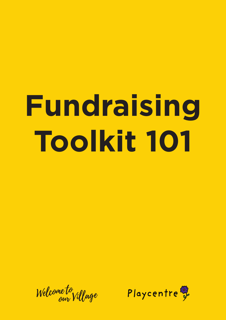# **Fundraising Toolkit 101**

Welcome to

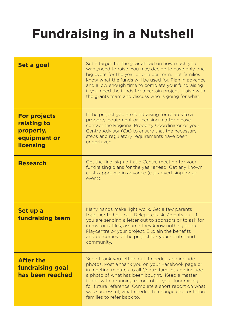# **Fundraising in a Nutshell**

| Set a goal                                                                          | Set a target for the year ahead on how much you<br>want/need to raise. You may decide to have only one<br>big event for the year or one per term. Let families<br>know what the funds will be used for. Plan in advance<br>and allow enough time to complete your fundraising<br>if you need the funds for a certain project. Liaise with<br>the grants team and discuss who is going for what.                          |  |  |  |
|-------------------------------------------------------------------------------------|--------------------------------------------------------------------------------------------------------------------------------------------------------------------------------------------------------------------------------------------------------------------------------------------------------------------------------------------------------------------------------------------------------------------------|--|--|--|
| <b>For projects</b><br>relating to<br>property,<br>equipment or<br><b>licensing</b> | If the project you are fundraising for relates to a<br>property, equipment or licensing matter please<br>contact the Regional Property Coordinator or your<br>Centre Advisor (CA) to ensure that the necessary<br>steps and regulatory requirements have been<br>undertaken.                                                                                                                                             |  |  |  |
| <b>Research</b>                                                                     | Get the final sign off at a Centre meeting for your<br>fundraising plans for the year ahead. Get any known<br>costs approved in advance (e.g. advertising for an<br>event).                                                                                                                                                                                                                                              |  |  |  |
| Set up a<br><b>fundraising team</b>                                                 | Many hands make light work. Get a few parents<br>together to help out. Delegate tasks/events out. If<br>you are sending a letter out to sponsors or to ask for<br>items for raffles, assume they know nothing about<br>Playcentre or your project. Explain the benefits<br>and outcomes of the project for your Centre and<br>community.                                                                                 |  |  |  |
| <b>After the</b><br><b>fundraising goal</b><br>has been reached                     | Send thank you letters out if needed and include<br>photos. Post a thank you on your Facebook page or<br>in meeting minutes to all Centre families and include<br>a photo of what has been bought. Keep a master<br>folder with a running record of all your fundraising<br>for future reference. Complete a short report on what<br>was successful, what needed to change etc. for future<br>families to refer back to. |  |  |  |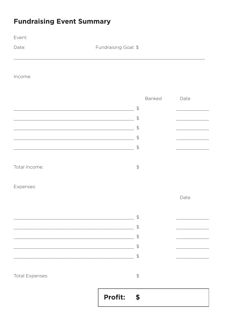# **Fundraising Event Summary**

Event:

Date:

Fundraising Goal: \$

Income:

|                                                                                                                        |         |                | Banked | Date |
|------------------------------------------------------------------------------------------------------------------------|---------|----------------|--------|------|
| <u> 1989 - Johann Harry Harry Harry Harry Harry Harry Harry Harry Harry Harry Harry Harry Harry Harry Harry Harry</u>  |         | $\frac{1}{2}$  |        |      |
| <u> 2002 - Johann John Stone, mension al-</u>                                                                          |         | $\frac{1}{2}$  |        |      |
| <u> 1980 - Johann John Stein, fransk politik (f. 1980)</u>                                                             |         | $\frac{1}{2}$  |        |      |
| <u> 2002 - Jan James James Jan James James James James James James James James James James James James James Jam</u>   |         | $\frac{1}{2}$  |        |      |
| <u> 1989 - Johann Stoff, deutscher Stoff, der Stoff, der Stoff, der Stoff, der Stoff, der Stoff, der Stoff, der S</u>  |         | $\frac{1}{2}$  |        |      |
|                                                                                                                        |         |                |        |      |
| Total Income:                                                                                                          |         | $\frac{1}{2}$  |        |      |
| Expenses:                                                                                                              |         |                |        |      |
|                                                                                                                        |         |                |        | Date |
|                                                                                                                        |         |                |        |      |
| <u> 1989 - Johann John Stein, marwolaeth a bhannaich an t-Amhair an t-Amhair an t-Amhair an t-Amhair an t-Amhair </u>  |         | $\mathfrak{D}$ |        |      |
| <u> 1989 - Johann John Stone, meil er format fan de ferske fan de ferske fan de ferske fan de ferske fan de fers</u>   |         | $\frac{1}{2}$  |        |      |
| <u> 2000 - Andrea Andrew Maria (h. 1878).</u>                                                                          |         | $\frac{1}{2}$  |        |      |
| <u> 1989 - Jan James James Barbara, meny kaominina dia kaominina mpikambana amin'ny fivondronan-kaominin'i Paris</u>   |         | $\frac{1}{2}$  |        |      |
| <u> 1989 - An Dùbhlachd ann an Dùbhlachd ann an Dùbhlachd ann an Dùbhlachd ann an Dùbhlachd ann an Dùbhlachd ann a</u> |         | $\frac{1}{2}$  |        |      |
|                                                                                                                        |         |                |        |      |
| Total Expenses:                                                                                                        |         | $\updownarrow$ |        |      |
|                                                                                                                        | Profit: | $\bullet$      |        |      |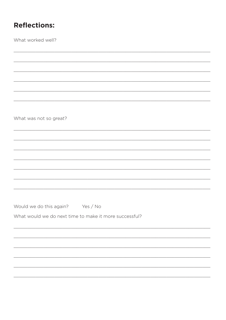## **Reflections:**

What worked well?

What was not so great?

Would we do this again? Yes / No

What would we do next time to make it more successful?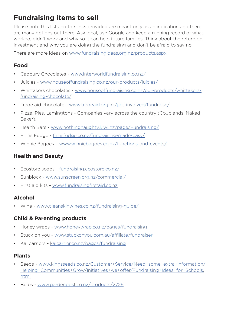## **Fundraising items to sell**

Please note this list and the links provided are meant only as an indication and there are many options out there. Ask local, use Google and keep a running record of what worked, didn't work and why so it can help future families. Think about the return on investment and why you are doing the fundraising and don't be afraid to say no.

There are more ideas on www.fundraisingideas.org.nz/products.aspx

#### **Food**

- Cadbury Chocolates www.interworldfundraising.co.nz/
- Juicies www.houseoffundraising.co.nz/our-products/juicies/
- Whittakers chocolates www.houseoffundraising.co.nz/our-products/whittakersfundraising-chocolate/
- Trade aid chocolate www.tradeaid.org.nz/get-involved/fundraise/
- Pizza, Pies, Lamingtons Companies vary across the country (Couplands, Naked Baker).
- Health Bars www.nothingnaughty.kiwi.nz/page/Fundraising/
- Finns Fudge finnsfudge.co.nz/fundraising-made-easy/
- Winnie Bagoes www.winniebagoes.co.nz/functions-and-events/

#### **Health and Beauty**

- Ecostore soaps fundraising.ecostore.co.nz/
- Sunblock www.sunscreen.org.nz/commercial/
- First aid kits www.fundraisingfirstaid.co.nz

#### **Alcohol**

• Wine - www.cleanskinwines.co.nz/fundraising-guide/

#### **Child & Parenting products**

- Honey wraps www.honeywrap.co.nz/pages/fundraising
- Stuck on you www.stuckonyou.com.au/affiliate/fundraiser
- Kai carriers kaicarrier.co.nz/pages/fundraising

#### **Plants**

- Seeds www.kingsseeds.co.nz/Customer+Service/Need+some+extra+information/ Helping+Communities+Grow/Initiatives+we+offer/Fundraising+Ideas+for+Schools. html
- Bulbs www.gardenpost.co.nz/products/2726